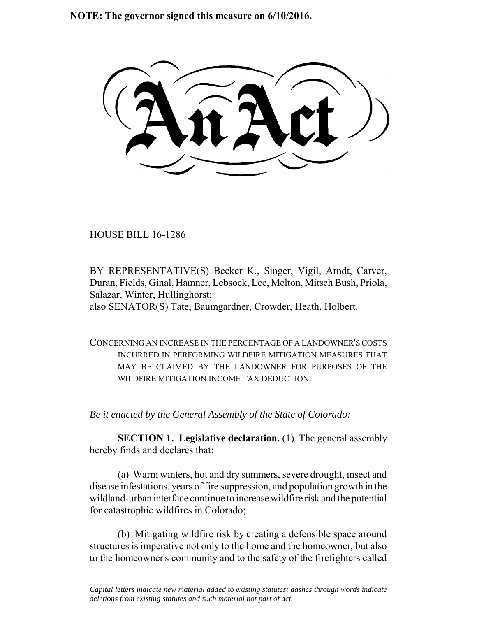**NOTE: The governor signed this measure on 6/10/2016.**

HOUSE BILL 16-1286

 $\frac{1}{2}$ 

BY REPRESENTATIVE(S) Becker K., Singer, Vigil, Arndt, Carver, Duran, Fields, Ginal, Hamner, Lebsock, Lee, Melton, Mitsch Bush, Priola, Salazar, Winter, Hullinghorst; also SENATOR(S) Tate, Baumgardner, Crowder, Heath, Holbert.

CONCERNING AN INCREASE IN THE PERCENTAGE OF A LANDOWNER'S COSTS INCURRED IN PERFORMING WILDFIRE MITIGATION MEASURES THAT MAY BE CLAIMED BY THE LANDOWNER FOR PURPOSES OF THE WILDFIRE MITIGATION INCOME TAX DEDUCTION

*Be it enacted by the General Assembly of the State of Colorado:*

**SECTION 1. Legislative declaration.** (1) The general assembly hereby finds and declares that:

(a) Warm winters, hot and dry summers, severe drought, insect and disease infestations, years of fire suppression, and population growth in the wildland-urban interface continue to increase wildfire risk and the potential for catastrophic wildfires in Colorado;

(b) Mitigating wildfire risk by creating a defensible space around structures is imperative not only to the home and the homeowner, but also to the homeowner's community and to the safety of the firefighters called

*Capital letters indicate new material added to existing statutes; dashes through words indicate deletions from existing statutes and such material not part of act.*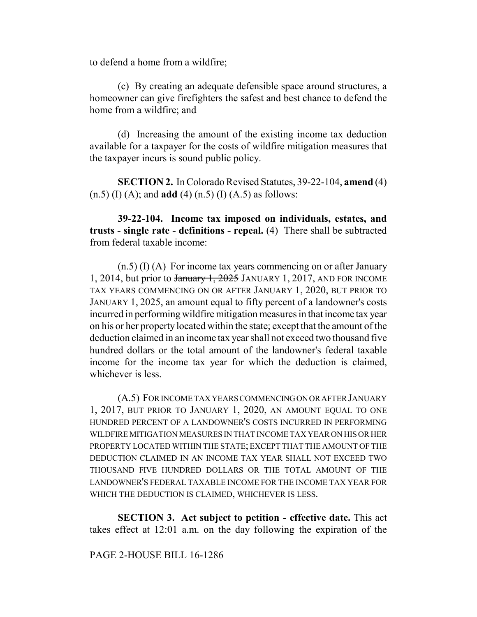to defend a home from a wildfire;

(c) By creating an adequate defensible space around structures, a homeowner can give firefighters the safest and best chance to defend the home from a wildfire; and

(d) Increasing the amount of the existing income tax deduction available for a taxpayer for the costs of wildfire mitigation measures that the taxpayer incurs is sound public policy.

**SECTION 2.** In Colorado Revised Statutes, 39-22-104, **amend** (4) (n.5) (I) (A); and **add** (4) (n.5) (I) (A.5) as follows:

**39-22-104. Income tax imposed on individuals, estates, and trusts - single rate - definitions - repeal.** (4) There shall be subtracted from federal taxable income:

(n.5) (I) (A) For income tax years commencing on or after January 1, 2014, but prior to  $\frac{1}{2025}$  JANUARY 1, 2017, AND FOR INCOME TAX YEARS COMMENCING ON OR AFTER JANUARY 1, 2020, BUT PRIOR TO JANUARY 1, 2025, an amount equal to fifty percent of a landowner's costs incurred in performing wildfire mitigation measures in that income tax year on his or her property located within the state; except that the amount of the deduction claimed in an income tax year shall not exceed two thousand five hundred dollars or the total amount of the landowner's federal taxable income for the income tax year for which the deduction is claimed, whichever is less.

(A.5) FOR INCOME TAX YEARS COMMENCING ON OR AFTER JANUARY 1, 2017, BUT PRIOR TO JANUARY 1, 2020, AN AMOUNT EQUAL TO ONE HUNDRED PERCENT OF A LANDOWNER'S COSTS INCURRED IN PERFORMING WILDFIRE MITIGATION MEASURES IN THAT INCOME TAX YEAR ON HIS OR HER PROPERTY LOCATED WITHIN THE STATE; EXCEPT THAT THE AMOUNT OF THE DEDUCTION CLAIMED IN AN INCOME TAX YEAR SHALL NOT EXCEED TWO THOUSAND FIVE HUNDRED DOLLARS OR THE TOTAL AMOUNT OF THE LANDOWNER'S FEDERAL TAXABLE INCOME FOR THE INCOME TAX YEAR FOR WHICH THE DEDUCTION IS CLAIMED, WHICHEVER IS LESS.

**SECTION 3. Act subject to petition - effective date.** This act takes effect at 12:01 a.m. on the day following the expiration of the